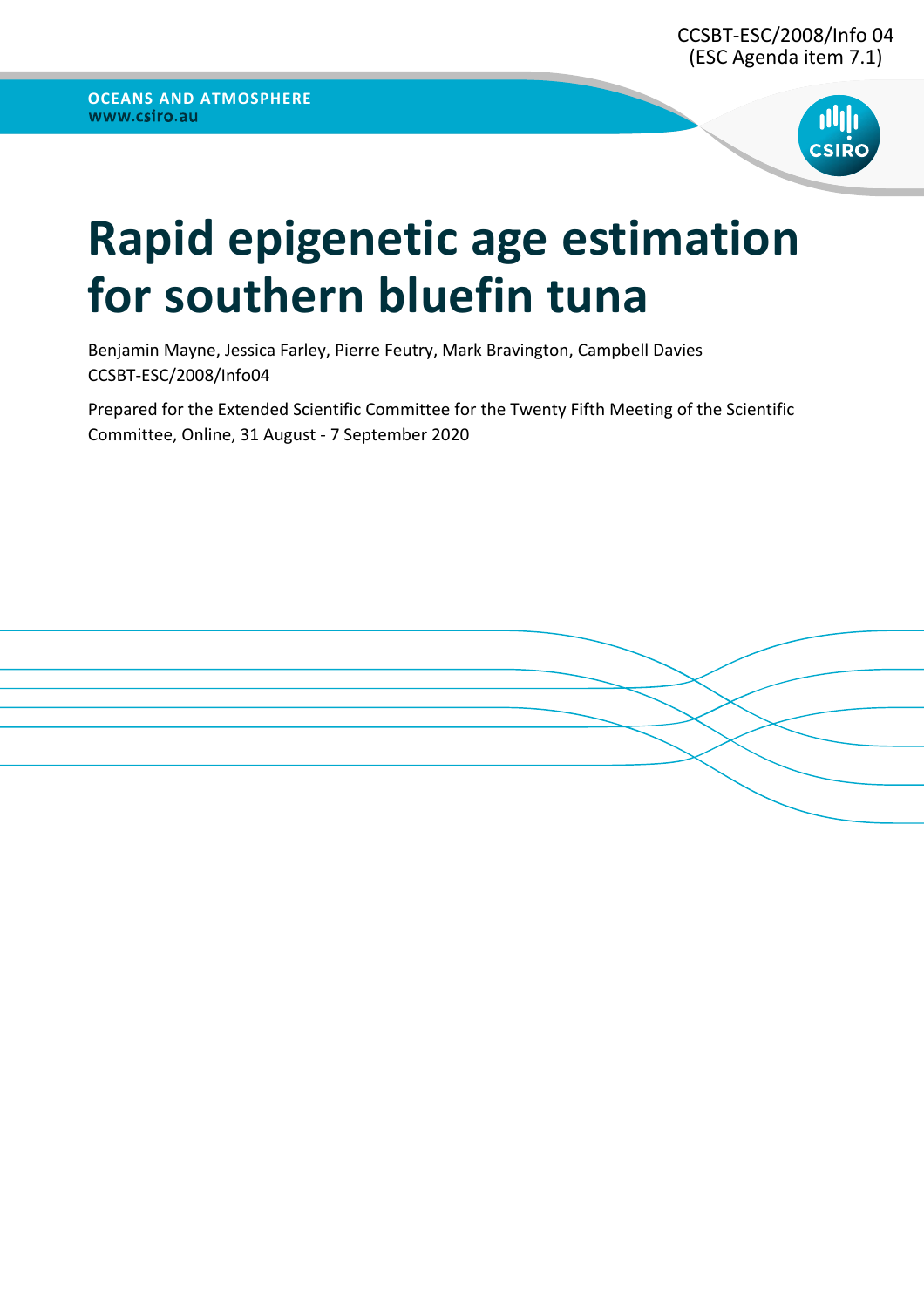

# **Rapid epigenetic age estimation for southern bluefin tuna**

Benjamin Mayne, Jessica Farley, Pierre Feutry, Mark Bravington, Campbell Davies CCSBT-ESC/2008/Info04

Prepared for the Extended Scientific Committee for the Twenty Fifth Meeting of the Scientific Committee, Online, 31 August - 7 September 2020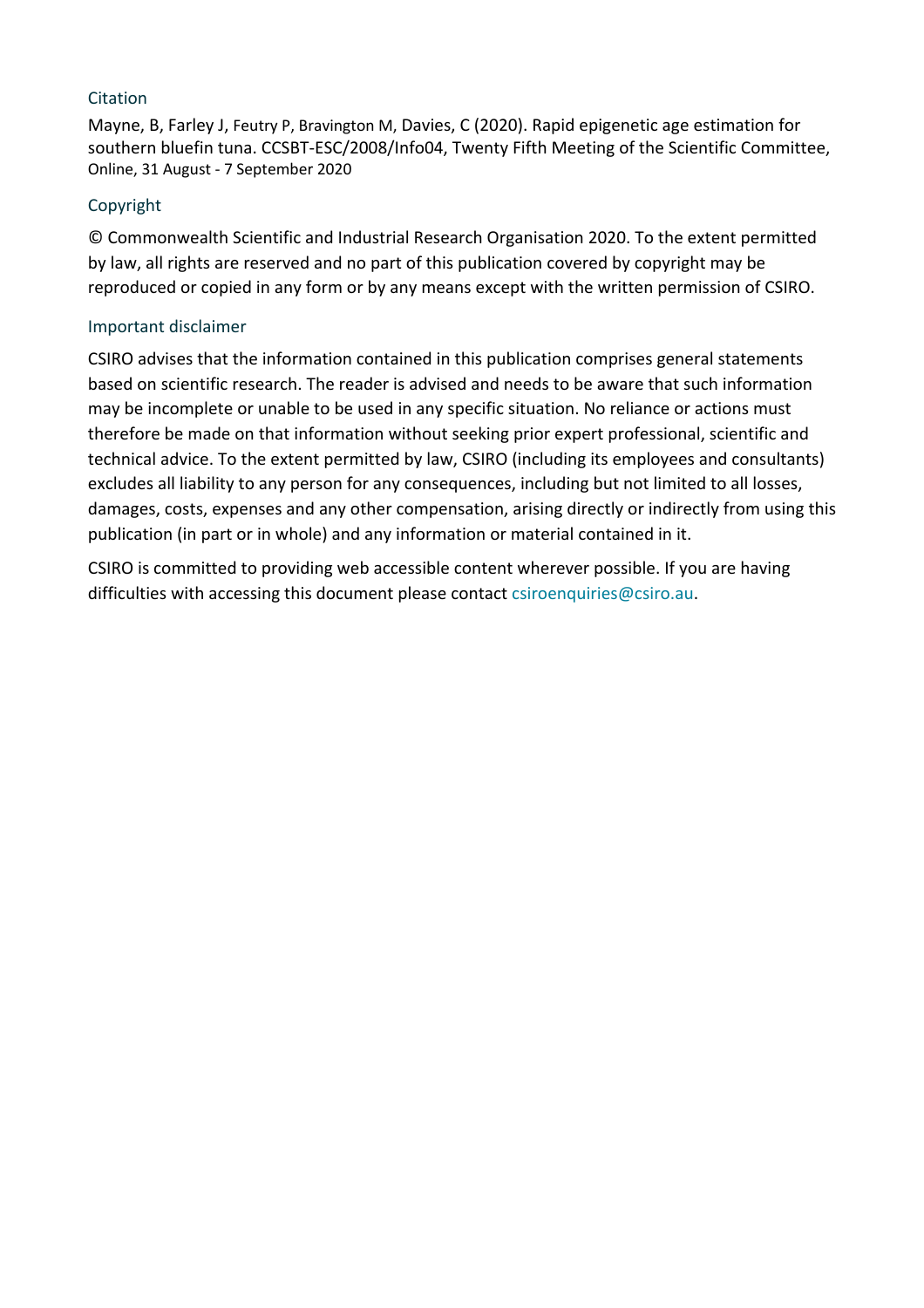### **Citation**

Mayne, B, Farley J, Feutry P, Bravington M, Davies, C (2020). Rapid epigenetic age estimation for southern bluefin tuna. CCSBT-ESC/2008/Info04, Twenty Fifth Meeting of the Scientific Committee, Online, 31 August - 7 September 2020

### Copyright

© Commonwealth Scientific and Industrial Research Organisation 2020. To the extent permitted by law, all rights are reserved and no part of this publication covered by copyright may be reproduced or copied in any form or by any means except with the written permission of CSIRO.

### Important disclaimer

CSIRO advises that the information contained in this publication comprises general statements based on scientific research. The reader is advised and needs to be aware that such information may be incomplete or unable to be used in any specific situation. No reliance or actions must therefore be made on that information without seeking prior expert professional, scientific and technical advice. To the extent permitted by law, CSIRO (including its employees and consultants) excludes all liability to any person for any consequences, including but not limited to all losses, damages, costs, expenses and any other compensation, arising directly or indirectly from using this publication (in part or in whole) and any information or material contained in it.

CSIRO is committed to providing web accessible content wherever possible. If you are having difficulties with accessing this document please contact csiroenquiries@csiro.au.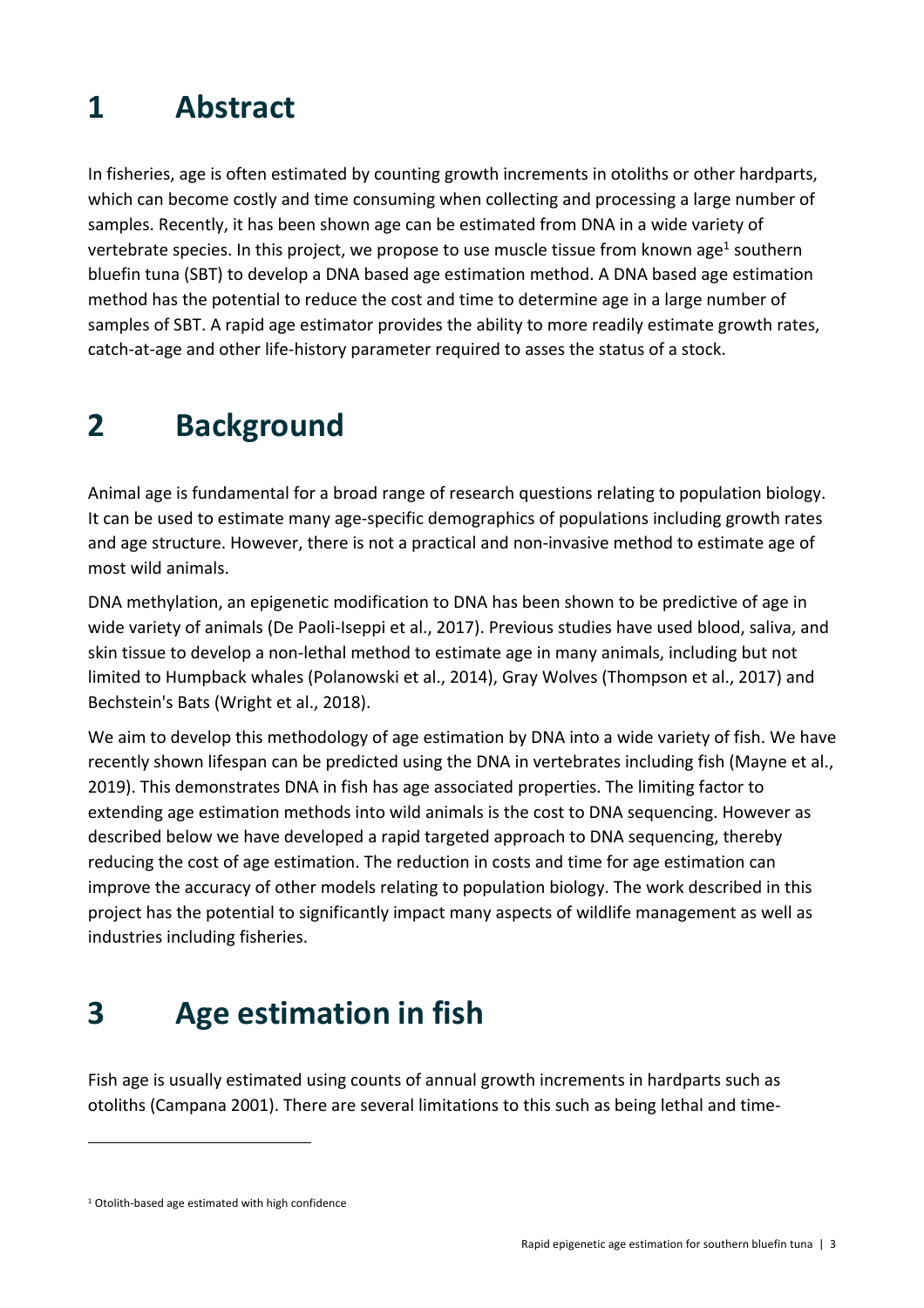# **1 Abstract**

In fisheries, age is often estimated by counting growth increments in otoliths or other hardparts, which can become costly and time consuming when collecting and processing a large number of samples. Recently, it has been shown age can be estimated from DNA in a wide variety of vertebrate species. In this project, we propose to use muscle tissue from known age<sup>1</sup> southern bluefin tuna (SBT) to develop a DNA based age estimation method. A DNA based age estimation method has the potential to reduce the cost and time to determine age in a large number of samples of SBT. A rapid age estimator provides the ability to more readily estimate growth rates, catch-at-age and other life-history parameter required to asses the status of a stock.

# **2 Background**

Animal age is fundamental for a broad range of research questions relating to population biology. It can be used to estimate many age-specific demographics of populations including growth rates and age structure. However, there is not a practical and non-invasive method to estimate age of most wild animals.

DNA methylation, an epigenetic modification to DNA has been shown to be predictive of age in wide variety of animals (De Paoli-Iseppi et al., 2017). Previous studies have used blood, saliva, and skin tissue to develop a non-lethal method to estimate age in many animals, including but not limited to Humpback whales (Polanowski et al., 2014), Gray Wolves (Thompson et al., 2017) and Bechstein's Bats (Wright et al., 2018).

We aim to develop this methodology of age estimation by DNA into a wide variety of fish. We have recently shown lifespan can be predicted using the DNA in vertebrates including fish (Mayne et al., 2019). This demonstrates DNA in fish has age associated properties. The limiting factor to extending age estimation methods into wild animals is the cost to DNA sequencing. However as described below we have developed a rapid targeted approach to DNA sequencing, thereby reducing the cost of age estimation. The reduction in costs and time for age estimation can improve the accuracy of other models relating to population biology. The work described in this project has the potential to significantly impact many aspects of wildlife management as well as industries including fisheries.

# **3 Age estimation in fish**

Fish age is usually estimated using counts of annual growth increments in hardparts such as otoliths (Campana 2001). There are several limitations to this such as being lethal and time-

<sup>&</sup>lt;sup>1</sup> Otolith-based age estimated with high confidence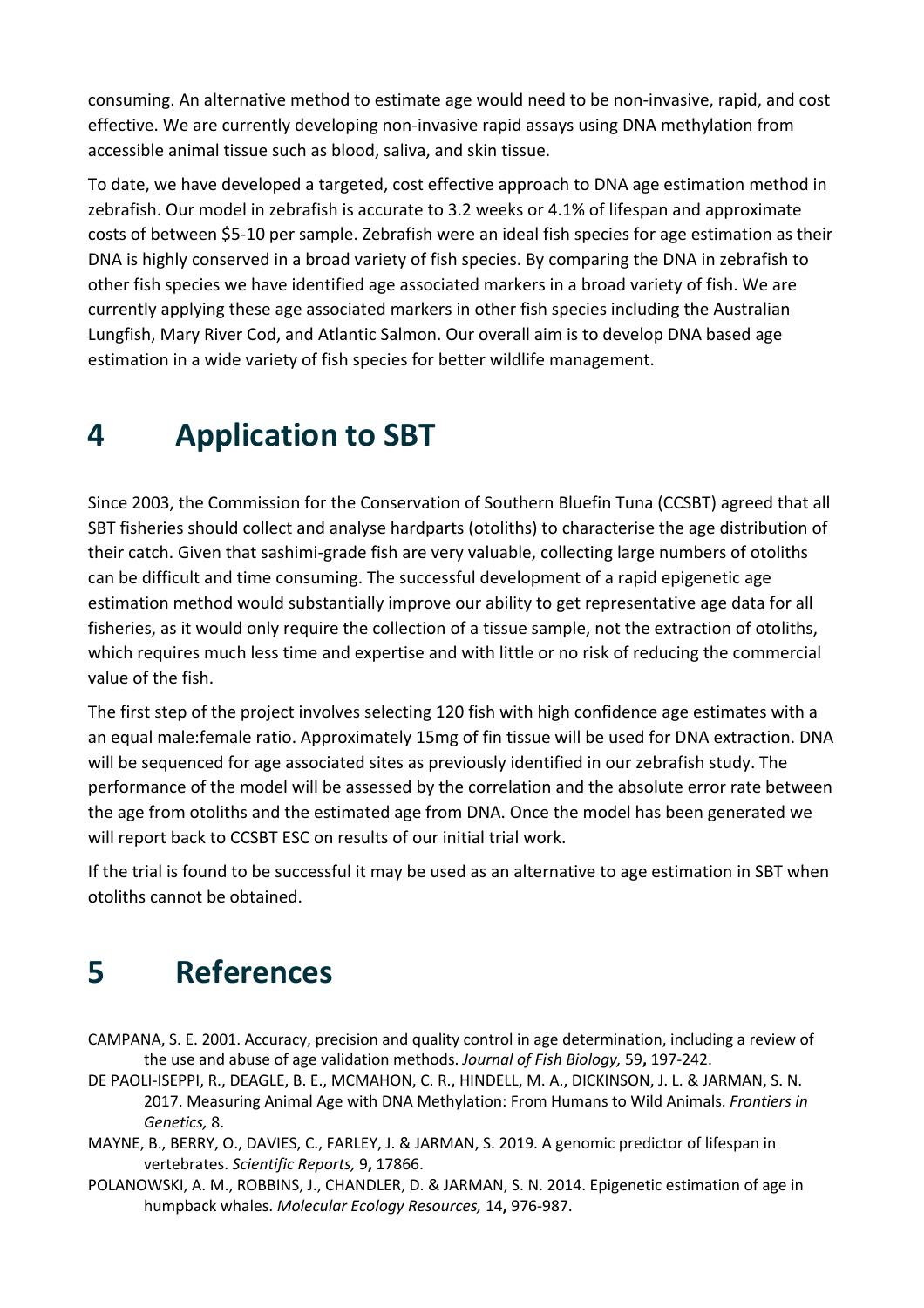consuming. An alternative method to estimate age would need to be non-invasive, rapid, and cost effective. We are currently developing non-invasive rapid assays using DNA methylation from accessible animal tissue such as blood, saliva, and skin tissue.

To date, we have developed a targeted, cost effective approach to DNA age estimation method in zebrafish. Our model in zebrafish is accurate to 3.2 weeks or 4.1% of lifespan and approximate costs of between \$5-10 per sample. Zebrafish were an ideal fish species for age estimation as their DNA is highly conserved in a broad variety of fish species. By comparing the DNA in zebrafish to other fish species we have identified age associated markers in a broad variety of fish. We are currently applying these age associated markers in other fish species including the Australian Lungfish, Mary River Cod, and Atlantic Salmon. Our overall aim is to develop DNA based age estimation in a wide variety of fish species for better wildlife management.

### **4 Application to SBT**

Since 2003, the Commission for the Conservation of Southern Bluefin Tuna (CCSBT) agreed that all SBT fisheries should collect and analyse hardparts (otoliths) to characterise the age distribution of their catch. Given that sashimi-grade fish are very valuable, collecting large numbers of otoliths can be difficult and time consuming. The successful development of a rapid epigenetic age estimation method would substantially improve our ability to get representative age data for all fisheries, as it would only require the collection of a tissue sample, not the extraction of otoliths, which requires much less time and expertise and with little or no risk of reducing the commercial value of the fish.

The first step of the project involves selecting 120 fish with high confidence age estimates with a an equal male:female ratio. Approximately 15mg of fin tissue will be used for DNA extraction. DNA will be sequenced for age associated sites as previously identified in our zebrafish study. The performance of the model will be assessed by the correlation and the absolute error rate between the age from otoliths and the estimated age from DNA. Once the model has been generated we will report back to CCSBT ESC on results of our initial trial work.

If the trial is found to be successful it may be used as an alternative to age estimation in SBT when otoliths cannot be obtained.

### **5 References**

- CAMPANA, S. E. 2001. Accuracy, precision and quality control in age determination, including a review of the use and abuse of age validation methods. *Journal of Fish Biology,* 59**,** 197-242.
- DE PAOLI-ISEPPI, R., DEAGLE, B. E., MCMAHON, C. R., HINDELL, M. A., DICKINSON, J. L. & JARMAN, S. N. 2017. Measuring Animal Age with DNA Methylation: From Humans to Wild Animals. *Frontiers in Genetics,* 8.
- MAYNE, B., BERRY, O., DAVIES, C., FARLEY, J. & JARMAN, S. 2019. A genomic predictor of lifespan in vertebrates. *Scientific Reports,* 9**,** 17866.
- POLANOWSKI, A. M., ROBBINS, J., CHANDLER, D. & JARMAN, S. N. 2014. Epigenetic estimation of age in humpback whales. *Molecular Ecology Resources,* 14**,** 976-987.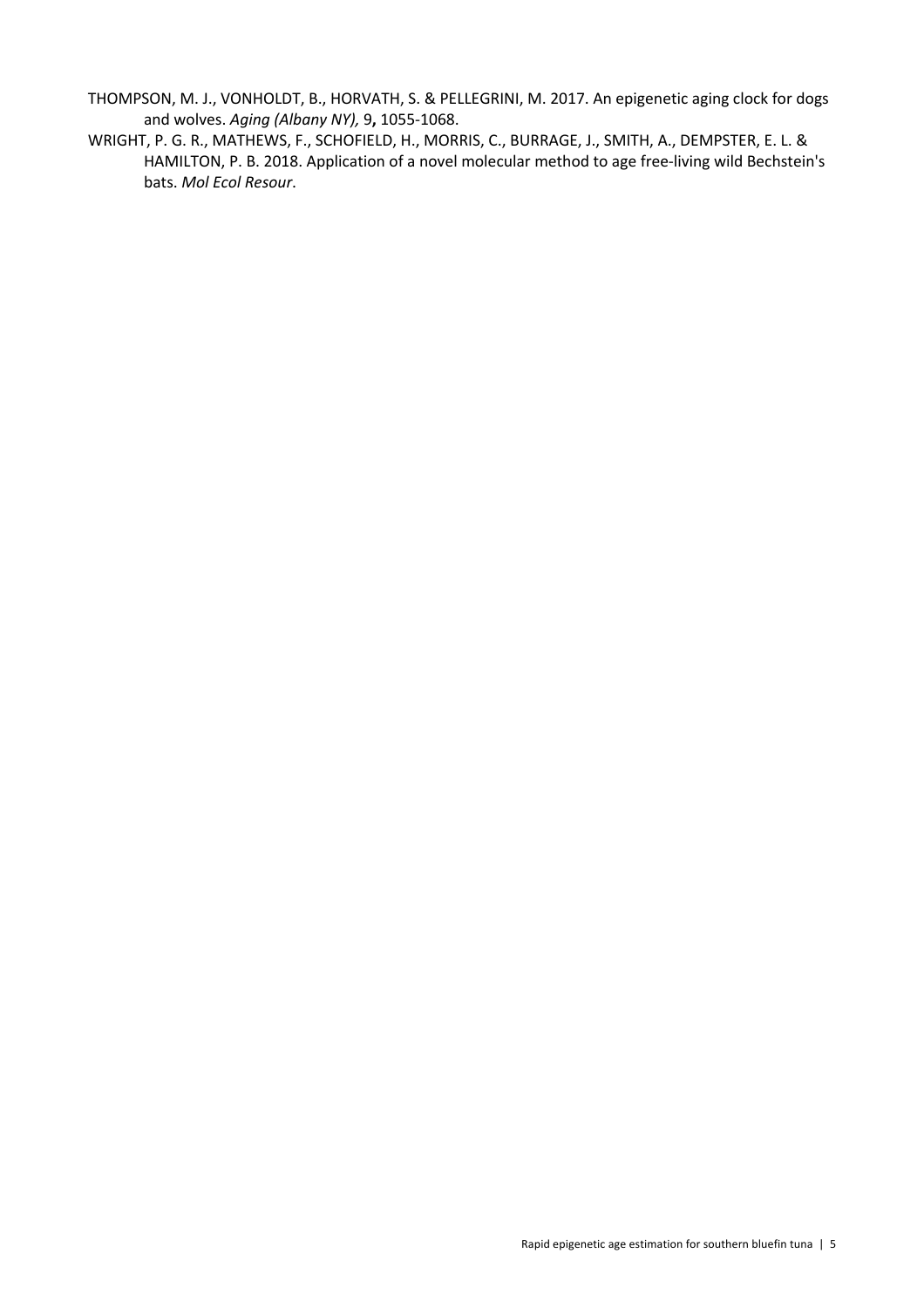- THOMPSON, M. J., VONHOLDT, B., HORVATH, S. & PELLEGRINI, M. 2017. An epigenetic aging clock for dogs and wolves. *Aging (Albany NY),* 9**,** 1055-1068.
- WRIGHT, P. G. R., MATHEWS, F., SCHOFIELD, H., MORRIS, C., BURRAGE, J., SMITH, A., DEMPSTER, E. L. & HAMILTON, P. B. 2018. Application of a novel molecular method to age free-living wild Bechstein's bats. *Mol Ecol Resour*.